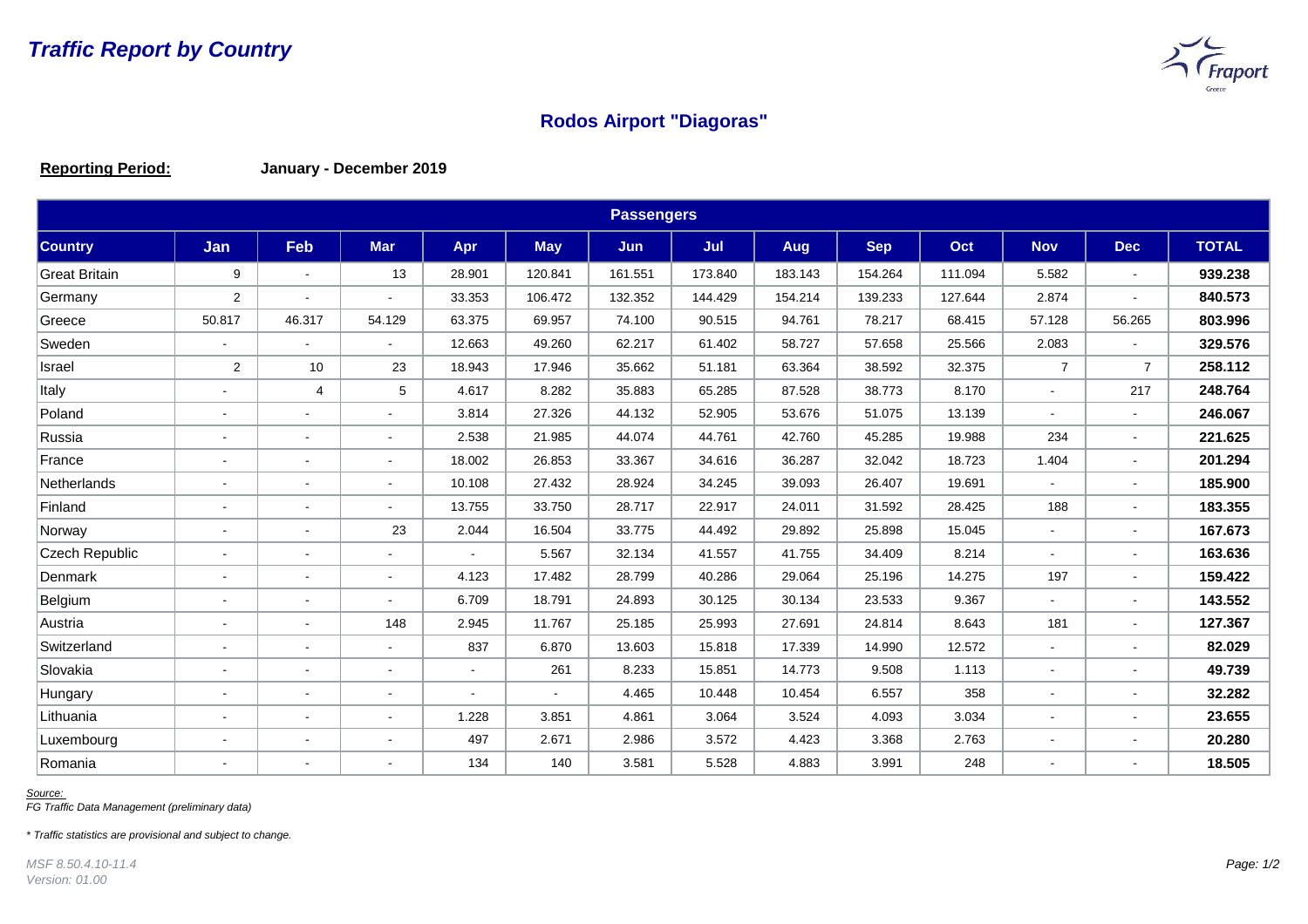

## **Rodos Airport "Diagoras"**

**Reporting Period: January - December 2019**

| <b>Passengers</b>     |                          |                          |                |                |            |            |         |            |            |         |                |                |              |
|-----------------------|--------------------------|--------------------------|----------------|----------------|------------|------------|---------|------------|------------|---------|----------------|----------------|--------------|
| <b>Country</b>        | Jan                      | <b>Feb</b>               | <b>Mar</b>     | Apr            | <b>May</b> | <b>Jun</b> | Jul     | <b>Aug</b> | <b>Sep</b> | Oct     | <b>Nov</b>     | <b>Dec</b>     | <b>TOTAL</b> |
| <b>Great Britain</b>  | 9                        | $\blacksquare$           | 13             | 28.901         | 120.841    | 161.551    | 173.840 | 183.143    | 154.264    | 111.094 | 5.582          | $\sim$         | 939.238      |
| Germany               | 2                        | $\blacksquare$           |                | 33.353         | 106.472    | 132.352    | 144.429 | 154.214    | 139.233    | 127.644 | 2.874          |                | 840.573      |
| Greece                | 50.817                   | 46.317                   | 54.129         | 63.375         | 69.957     | 74.100     | 90.515  | 94.761     | 78.217     | 68.415  | 57.128         | 56.265         | 803.996      |
| Sweden                | $\blacksquare$           | $\blacksquare$           | $\blacksquare$ | 12.663         | 49.260     | 62.217     | 61.402  | 58.727     | 57.658     | 25.566  | 2.083          | $\blacksquare$ | 329.576      |
| Israel                | $\overline{2}$           | 10                       | 23             | 18.943         | 17.946     | 35.662     | 51.181  | 63.364     | 38.592     | 32.375  | $\overline{7}$ | $\overline{7}$ | 258.112      |
| Italy                 | $\overline{a}$           | $\overline{4}$           | 5              | 4.617          | 8.282      | 35.883     | 65.285  | 87.528     | 38.773     | 8.170   |                | 217            | 248.764      |
| Poland                | $\blacksquare$           |                          |                | 3.814          | 27.326     | 44.132     | 52.905  | 53.676     | 51.075     | 13.139  |                |                | 246.067      |
| Russia                | $\blacksquare$           | $\blacksquare$           | $\blacksquare$ | 2.538          | 21.985     | 44.074     | 44.761  | 42.760     | 45.285     | 19.988  | 234            | $\sim$         | 221.625      |
| France                | $\blacksquare$           |                          |                | 18.002         | 26.853     | 33.367     | 34.616  | 36.287     | 32.042     | 18.723  | 1.404          |                | 201.294      |
| Netherlands           | $\blacksquare$           | $\blacksquare$           |                | 10.108         | 27.432     | 28.924     | 34.245  | 39.093     | 26.407     | 19.691  |                | $\sim$         | 185.900      |
| Finland               | $\blacksquare$           |                          |                | 13.755         | 33.750     | 28.717     | 22.917  | 24.011     | 31.592     | 28.425  | 188            |                | 183.355      |
| Norway                | $\blacksquare$           | $\blacksquare$           | 23             | 2.044          | 16.504     | 33.775     | 44.492  | 29.892     | 25.898     | 15.045  |                |                | 167.673      |
| <b>Czech Republic</b> | $\blacksquare$           |                          |                |                | 5.567      | 32.134     | 41.557  | 41.755     | 34.409     | 8.214   |                |                | 163.636      |
| Denmark               | ä,                       | $\blacksquare$           | $\blacksquare$ | 4.123          | 17.482     | 28.799     | 40.286  | 29.064     | 25.196     | 14.275  | 197            | $\sim$         | 159.422      |
| Belgium               | $\overline{\phantom{a}}$ | $\overline{\phantom{a}}$ |                | 6.709          | 18.791     | 24.893     | 30.125  | 30.134     | 23.533     | 9.367   |                |                | 143.552      |
| Austria               | $\overline{a}$           | $\blacksquare$           | 148            | 2.945          | 11.767     | 25.185     | 25.993  | 27.691     | 24.814     | 8.643   | 181            |                | 127.367      |
| Switzerland           | $\overline{a}$           | $\blacksquare$           | $\blacksquare$ | 837            | 6.870      | 13.603     | 15.818  | 17.339     | 14.990     | 12.572  |                |                | 82.029       |
| Slovakia              | $\blacksquare$           | $\blacksquare$           | $\blacksquare$ | $\blacksquare$ | 261        | 8.233      | 15.851  | 14.773     | 9.508      | 1.113   |                |                | 49.739       |
| Hungary               | $\blacksquare$           | $\blacksquare$           | $\blacksquare$ | $\blacksquare$ | $\sim$     | 4.465      | 10.448  | 10.454     | 6.557      | 358     |                | $\sim$         | 32.282       |
| Lithuania             | $\blacksquare$           | $\blacksquare$           | $\blacksquare$ | 1.228          | 3.851      | 4.861      | 3.064   | 3.524      | 4.093      | 3.034   |                |                | 23.655       |
| Luxembourg            | $\blacksquare$           | $\overline{a}$           | $\overline{a}$ | 497            | 2.671      | 2.986      | 3.572   | 4.423      | 3.368      | 2.763   |                | $\sim$         | 20.280       |
| Romania               | $\overline{a}$           | $\blacksquare$           |                | 134            | 140        | 3.581      | 5.528   | 4.883      | 3.991      | 248     |                |                | 18.505       |

*Source:* 

*FG Traffic Data Management (preliminary data)*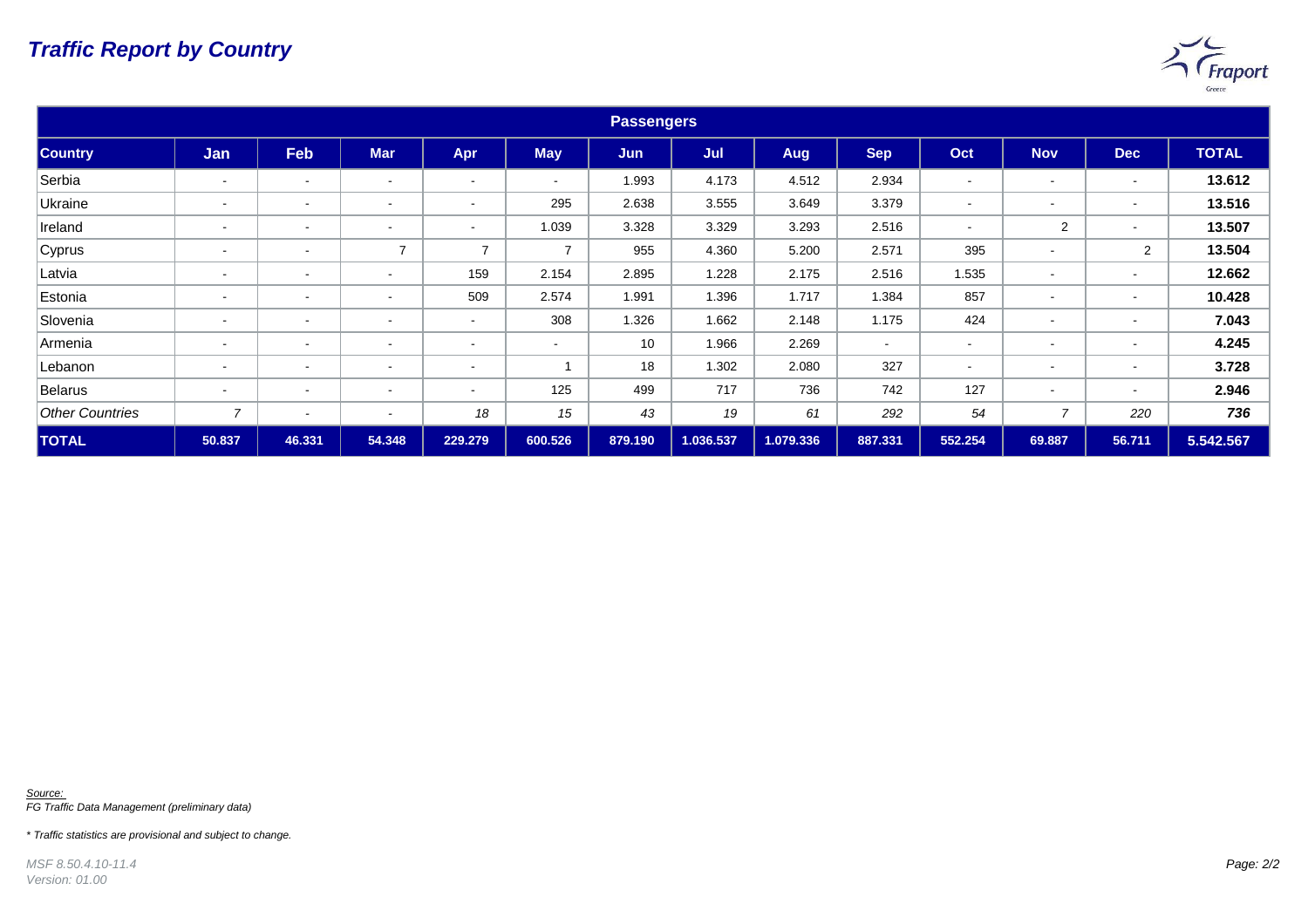## *Traffic Report by Country*



| <b>Passengers</b>      |                          |                          |                          |                          |                |            |           |           |            |                          |                          |                          |              |
|------------------------|--------------------------|--------------------------|--------------------------|--------------------------|----------------|------------|-----------|-----------|------------|--------------------------|--------------------------|--------------------------|--------------|
| <b>Country</b>         | Jan                      | Feb                      | <b>Mar</b>               | Apr                      | <b>May</b>     | <b>Jun</b> | Jul       | Aug       | <b>Sep</b> | Oct                      | <b>Nov</b>               | <b>Dec</b>               | <b>TOTAL</b> |
| Serbia                 | $\blacksquare$           | $\,$ $\,$                | $\blacksquare$           | $\overline{\phantom{a}}$ | $\sim$         | 1.993      | 4.173     | 4.512     | 2.934      | $\overline{\phantom{a}}$ | $\overline{\phantom{a}}$ | $\overline{\phantom{a}}$ | 13.612       |
| Ukraine                | $\overline{\phantom{0}}$ | $\,$ $\,$                | $\overline{\phantom{a}}$ | $\overline{\phantom{a}}$ | 295            | 2.638      | 3.555     | 3.649     | 3.379      | $\sim$                   | $\,$ $\,$                | $\overline{\phantom{a}}$ | 13.516       |
| Ireland                | $\blacksquare$           | $\blacksquare$           | $\blacksquare$           | $\blacksquare$           | 1.039          | 3.328      | 3.329     | 3.293     | 2.516      | $\overline{\phantom{a}}$ | $\overline{2}$           | $\,$ $\,$                | 13.507       |
| Cyprus                 | $\overline{\phantom{a}}$ | $\blacksquare$           | $\overline{7}$           | $\overline{7}$           | $\overline{7}$ | 955        | 4.360     | 5.200     | 2.571      | 395                      | $\sim$                   | $\overline{2}$           | 13.504       |
| Latvia                 | $\overline{\phantom{0}}$ | $\blacksquare$           | $\overline{\phantom{a}}$ | 159                      | 2.154          | 2.895      | 1.228     | 2.175     | 2.516      | 1.535                    | $\overline{\phantom{a}}$ | $\overline{\phantom{a}}$ | 12.662       |
| Estonia                | $\overline{\phantom{0}}$ | $\blacksquare$           | $\overline{\phantom{a}}$ | 509                      | 2.574          | 1.991      | 1.396     | 1.717     | 1.384      | 857                      | $\overline{\phantom{a}}$ | $\overline{\phantom{a}}$ | 10.428       |
| Slovenia               | $\blacksquare$           | $\blacksquare$           | $\blacksquare$           | $\sim$                   | 308            | 1.326      | 1.662     | 2.148     | 1.175      | 424                      | $\overline{\phantom{a}}$ | $\,$ $\,$                | 7.043        |
| Armenia                | $\blacksquare$           | $\blacksquare$           | $\blacksquare$           | $\blacksquare$           | $\blacksquare$ | 10         | 1.966     | 2.269     | $\,$ $\,$  | $\overline{\phantom{a}}$ | $\,$ $\,$                | $\,$ $\,$                | 4.245        |
| Lebanon                | $\sim$                   | $\blacksquare$           | $\blacksquare$           | $\blacksquare$           |                | 18         | 1.302     | 2.080     | 327        | $\sim$                   | $\sim$                   | $\overline{\phantom{a}}$ | 3.728        |
| Belarus                | $\blacksquare$           | $\blacksquare$           | $\blacksquare$           | $\sim$                   | 125            | 499        | 717       | 736       | 742        | 127                      | $\overline{\phantom{a}}$ | $\overline{\phantom{a}}$ | 2.946        |
| <b>Other Countries</b> | $\overline{7}$           | $\overline{\phantom{a}}$ | $\overline{\phantom{a}}$ | 18                       | 15             | 43         | 19        | 61        | 292        | 54                       | $\overline{ }$           | 220                      | 736          |
| <b>TOTAL</b>           | 50.837                   | 46.331                   | 54.348                   | 229.279                  | 600.526        | 879.190    | 1.036.537 | 1.079.336 | 887.331    | 552.254                  | 69.887                   | 56.711                   | 5.542.567    |

*Source: FG Traffic Data Management (preliminary data)*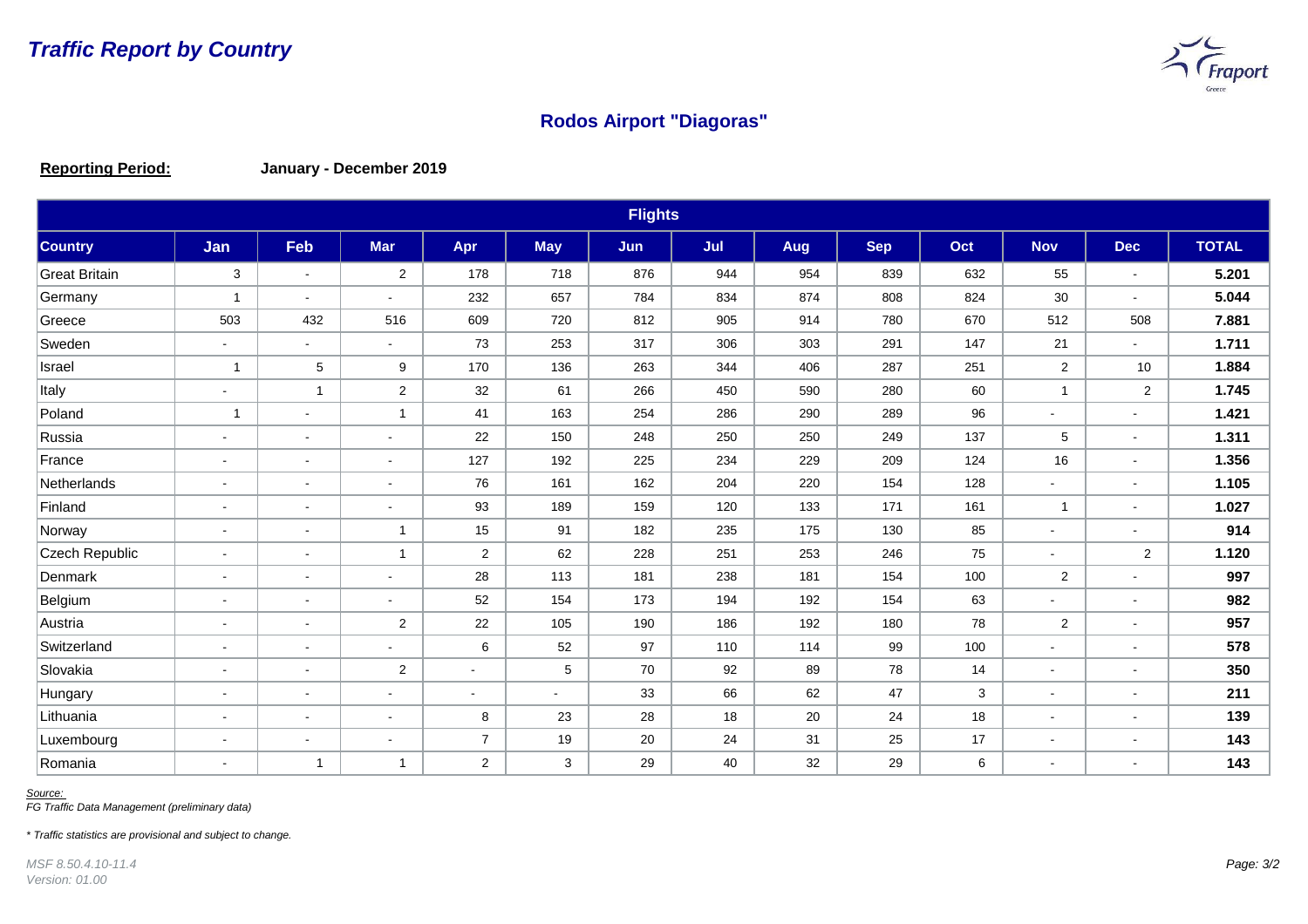

## **Rodos Airport "Diagoras"**

**Reporting Period: January - December 2019**

| <b>Flights</b>        |                          |                          |                          |                |            |     |     |     |            |     |                |            |              |
|-----------------------|--------------------------|--------------------------|--------------------------|----------------|------------|-----|-----|-----|------------|-----|----------------|------------|--------------|
| <b>Country</b>        | Jan                      | Feb                      | <b>Mar</b>               | Apr            | <b>May</b> | Jun | Jul | Aug | <b>Sep</b> | Oct | <b>Nov</b>     | <b>Dec</b> | <b>TOTAL</b> |
| <b>Great Britain</b>  | $\mathbf{3}$             | $\sim$                   | $\overline{c}$           | 178            | 718        | 876 | 944 | 954 | 839        | 632 | 55             | $\sim$     | 5.201        |
| Germany               | $\overline{1}$           | $\blacksquare$           | $\overline{\phantom{a}}$ | 232            | 657        | 784 | 834 | 874 | 808        | 824 | 30             | $\sim$     | 5.044        |
| Greece                | 503                      | 432                      | 516                      | 609            | 720        | 812 | 905 | 914 | 780        | 670 | 512            | 508        | 7.881        |
| Sweden                | $\blacksquare$           | $\blacksquare$           | $\blacksquare$           | 73             | 253        | 317 | 306 | 303 | 291        | 147 | 21             | $\sim$     | 1.711        |
| Israel                | $\overline{1}$           | 5                        | 9                        | 170            | 136        | 263 | 344 | 406 | 287        | 251 | $\overline{2}$ | 10         | 1.884        |
| Italy                 | $\blacksquare$           | $\mathbf 1$              | $\overline{2}$           | 32             | 61         | 266 | 450 | 590 | 280        | 60  | $\mathbf 1$    | 2          | 1.745        |
| Poland                | $\overline{1}$           | $\overline{\phantom{a}}$ | $\overline{1}$           | 41             | 163        | 254 | 286 | 290 | 289        | 96  |                | $\sim$     | 1.421        |
| Russia                | $\sim$                   | $\sim$                   | $\overline{a}$           | 22             | 150        | 248 | 250 | 250 | 249        | 137 | 5              | $\sim$     | 1.311        |
| France                | $\blacksquare$           | $\blacksquare$           | $\blacksquare$           | 127            | 192        | 225 | 234 | 229 | 209        | 124 | 16             |            | 1.356        |
| Netherlands           | $\blacksquare$           | $\blacksquare$           | $\blacksquare$           | 76             | 161        | 162 | 204 | 220 | 154        | 128 |                | $\sim$     | 1.105        |
| Finland               | $\sim$                   | $\blacksquare$           | $\blacksquare$           | 93             | 189        | 159 | 120 | 133 | 171        | 161 | -1             |            | 1.027        |
| Norway                | $\overline{\phantom{a}}$ | $\blacksquare$           | $\overline{1}$           | 15             | 91         | 182 | 235 | 175 | 130        | 85  | $\sim$         |            | 914          |
| <b>Czech Republic</b> | $\blacksquare$           | $\blacksquare$           | $\overline{1}$           | $\overline{2}$ | 62         | 228 | 251 | 253 | 246        | 75  |                | 2          | 1.120        |
| Denmark               | $\blacksquare$           | $\sim$                   | $\mathbf{r}$             | 28             | 113        | 181 | 238 | 181 | 154        | 100 | $\overline{2}$ | $\sim$     | 997          |
| Belgium               | $\blacksquare$           | $\blacksquare$           | $\blacksquare$           | 52             | 154        | 173 | 194 | 192 | 154        | 63  |                | $\,$       | 982          |
| Austria               | $\blacksquare$           | $\blacksquare$           | $\overline{2}$           | 22             | 105        | 190 | 186 | 192 | 180        | 78  | $\overline{2}$ | $\sim$     | 957          |
| Switzerland           | $\blacksquare$           | $\blacksquare$           | $\blacksquare$           | 6              | 52         | 97  | 110 | 114 | 99         | 100 |                |            | 578          |
| Slovakia              | $\blacksquare$           | $\blacksquare$           | 2                        | $\blacksquare$ | 5          | 70  | 92  | 89  | 78         | 14  |                | $\sim$     | 350          |
| Hungary               | $\overline{\phantom{a}}$ | $\overline{\phantom{a}}$ | $\blacksquare$           | $\blacksquare$ | $\sim$     | 33  | 66  | 62  | 47         | 3   |                |            | 211          |
| Lithuania             | $\blacksquare$           | $\blacksquare$           | $\blacksquare$           | 8              | 23         | 28  | 18  | 20  | 24         | 18  |                |            | 139          |
| Luxembourg            | $\blacksquare$           | $\blacksquare$           | $\blacksquare$           | $\overline{7}$ | 19         | 20  | 24  | 31  | 25         | 17  |                | ۰          | 143          |
| Romania               | $\overline{a}$           | $\overline{1}$           | $\mathbf 1$              | $\overline{2}$ | 3          | 29  | 40  | 32  | 29         | 6   |                |            | 143          |

*Source:* 

*FG Traffic Data Management (preliminary data)*